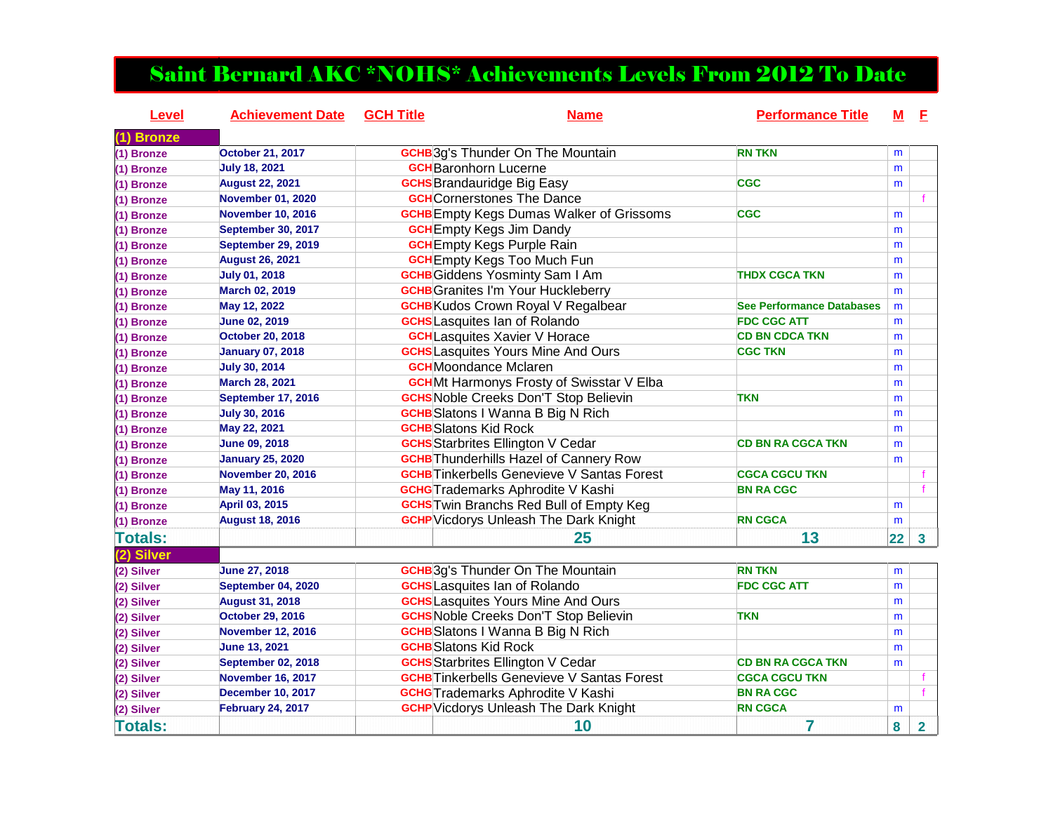## Saint Bernard AKC \*NOHS\* Achievements Levels From 2012 To Date

| Level          | <b>Achievement Date</b>   | <b>GCH Title</b> | <b>Name</b>                                       | <b>Performance Title</b>         | М  | E                       |
|----------------|---------------------------|------------------|---------------------------------------------------|----------------------------------|----|-------------------------|
| $(1)$ Bronze   |                           |                  |                                                   |                                  |    |                         |
| (1) Bronze     | <b>October 21, 2017</b>   |                  | <b>GCHB</b> 3g's Thunder On The Mountain          | <b>RN TKN</b>                    | m  |                         |
| (1) Bronze     | <b>July 18, 2021</b>      |                  | <b>GCH</b> Baronhorn Lucerne                      |                                  | m  |                         |
| (1) Bronze     | <b>August 22, 2021</b>    |                  | <b>GCHS</b> Brandauridge Big Easy                 | <b>CGC</b>                       | m  |                         |
| (1) Bronze     | <b>November 01, 2020</b>  |                  | <b>GCH</b> Cornerstones The Dance                 |                                  |    |                         |
| (1) Bronze     | <b>November 10, 2016</b>  |                  | <b>GCHB</b> Empty Kegs Dumas Walker of Grissoms   | <b>CGC</b>                       | m  |                         |
| (1) Bronze     | September 30, 2017        |                  | <b>GCH</b> Empty Kegs Jim Dandy                   |                                  | m  |                         |
| (1) Bronze     | September 29, 2019        |                  | <b>GCH</b> Empty Kegs Purple Rain                 |                                  | m  |                         |
| (1) Bronze     | <b>August 26, 2021</b>    |                  | <b>GCH</b> Empty Kegs Too Much Fun                |                                  | m  |                         |
| (1) Bronze     | <b>July 01, 2018</b>      |                  | <b>GCHB</b> Giddens Yosminty Sam I Am             | <b>THDX CGCA TKN</b>             | m  |                         |
| (1) Bronze     | March 02, 2019            |                  | <b>GCHB</b> Granites I'm Your Huckleberry         |                                  | m  |                         |
| (1) Bronze     | May 12, 2022              |                  | <b>GCHB</b> Kudos Crown Royal V Regalbear         | <b>See Performance Databases</b> | m  |                         |
| (1) Bronze     | <b>June 02, 2019</b>      |                  | <b>GCHS</b> Lasquites Ian of Rolando              | <b>FDC CGC ATT</b>               | m  |                         |
| (1) Bronze     | <b>October 20, 2018</b>   |                  | <b>GCH</b> Lasquites Xavier V Horace              | <b>CD BN CDCA TKN</b>            | m  |                         |
| (1) Bronze     | <b>January 07, 2018</b>   |                  | <b>GCHS</b> Lasquites Yours Mine And Ours         | <b>CGC TKN</b>                   | m  |                         |
| (1) Bronze     | <b>July 30, 2014</b>      |                  | <b>GCH</b> Moondance Mclaren                      |                                  | m  |                         |
| (1) Bronze     | <b>March 28, 2021</b>     |                  | <b>GCH</b> Mt Harmonys Frosty of Swisstar V Elba  |                                  | m  |                         |
| (1) Bronze     | September 17, 2016        |                  | <b>GCHS</b> Noble Creeks Don'T Stop Believin      | <b>TKN</b>                       | m  |                         |
| (1) Bronze     | <b>July 30, 2016</b>      |                  | <b>GCHB</b> Slatons I Wanna B Big N Rich          |                                  | m  |                         |
| (1) Bronze     | May 22, 2021              |                  | <b>GCHB</b> Slatons Kid Rock                      |                                  | m  |                         |
| (1) Bronze     | <b>June 09, 2018</b>      |                  | <b>GCHS</b> Starbrites Ellington V Cedar          | <b>CD BN RA CGCA TKN</b>         | m  |                         |
| (1) Bronze     | <b>January 25, 2020</b>   |                  | <b>GCHB</b> Thunderhills Hazel of Cannery Row     |                                  | m  |                         |
| (1) Bronze     | <b>November 20, 2016</b>  |                  | <b>GCHB</b> Tinkerbells Genevieve V Santas Forest | <b>CGCA CGCU TKN</b>             |    | f                       |
| (1) Bronze     | May 11, 2016              |                  | <b>GCHG</b> Trademarks Aphrodite V Kashi          | <b>BN RA CGC</b>                 |    | $\mathbf f$             |
| (1) Bronze     | April 03, 2015            |                  | <b>GCHS</b> Twin Branchs Red Bull of Empty Keg    |                                  | m  |                         |
| (1) Bronze     | <b>August 18, 2016</b>    |                  | <b>GCHP</b> Vicdorys Unleash The Dark Knight      | <b>RN CGCA</b>                   | m  |                         |
| <b>Totals:</b> |                           |                  | 25                                                | 13                               | 22 | $\overline{\mathbf{3}}$ |
| (2) Silver     |                           |                  |                                                   |                                  |    |                         |
| (2) Silver     | <b>June 27, 2018</b>      |                  | <b>GCHB</b> 3g's Thunder On The Mountain          | <b>RN TKN</b>                    | m  |                         |
| (2) Silver     | September 04, 2020        |                  | <b>GCHS</b> Lasquites Ian of Rolando              | <b>FDC CGC ATT</b>               | m  |                         |
| (2) Silver     | <b>August 31, 2018</b>    |                  | <b>GCHS</b> Lasquites Yours Mine And Ours         |                                  | m  |                         |
| (2) Silver     | <b>October 29, 2016</b>   |                  | <b>GCHS</b> Noble Creeks Don'T Stop Believin      | <b>TKN</b>                       | m  |                         |
| (2) Silver     | <b>November 12, 2016</b>  |                  | <b>GCHB</b> Slatons I Wanna B Big N Rich          |                                  | m  |                         |
| (2) Silver     | <b>June 13, 2021</b>      |                  | <b>GCHB</b> Slatons Kid Rock                      |                                  | m  |                         |
| (2) Silver     | <b>September 02, 2018</b> |                  | <b>GCHS</b> Starbrites Ellington V Cedar          | <b>CD BN RA CGCA TKN</b>         | m  |                         |
| (2) Silver     | November 16, 2017         |                  | <b>GCHB</b> Tinkerbells Genevieve V Santas Forest | <b>CGCA CGCU TKN</b>             |    | f                       |
| (2) Silver     | <b>December 10, 2017</b>  |                  | <b>GCHG</b> Trademarks Aphrodite V Kashi          | <b>BN RA CGC</b>                 |    | $\mathbf{f}$            |
| (2) Silver     | <b>February 24, 2017</b>  |                  | <b>GCHP</b> Vicdorys Unleash The Dark Knight      | <b>RN CGCA</b>                   | m  |                         |
| <b>Totals:</b> |                           |                  | 10                                                | 7                                | 8  | $\overline{2}$          |